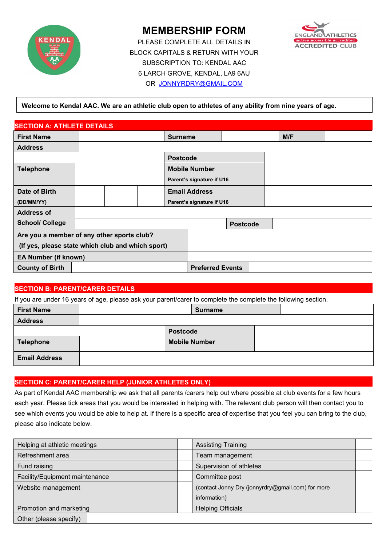

# **MEMBERSHIP FORM**

PLEASE COMPLETE ALL DETAILS IN BLOCK CAPITALS & RETURN WITH YOUR SUBSCRIPTION TO: KENDAL AAC 6 LARCH GROVE, KENDAL, LA9 6AU OR [JONNYRDRY@GMAIL.COM](mailto:jonnyrdry@gmail.com)



## **Welcome to Kendal AAC. We are an athletic club open to athletes of any ability from nine years of age.**

| <b>SECTION A: ATHLETE DETAILS</b>                 |  |  |                      |                         |                           |  |     |  |
|---------------------------------------------------|--|--|----------------------|-------------------------|---------------------------|--|-----|--|
| <b>First Name</b>                                 |  |  |                      | <b>Surname</b>          |                           |  | M/F |  |
| <b>Address</b>                                    |  |  |                      |                         |                           |  |     |  |
|                                                   |  |  |                      | <b>Postcode</b>         |                           |  |     |  |
| <b>Telephone</b>                                  |  |  | <b>Mobile Number</b> |                         |                           |  |     |  |
|                                                   |  |  |                      |                         | Parent's signature if U16 |  |     |  |
| Date of Birth                                     |  |  |                      | <b>Email Address</b>    |                           |  |     |  |
| (DD/MM/YY)                                        |  |  |                      |                         | Parent's signature if U16 |  |     |  |
| <b>Address of</b>                                 |  |  |                      |                         |                           |  |     |  |
| <b>School/ College</b>                            |  |  |                      |                         | <b>Postcode</b>           |  |     |  |
| Are you a member of any other sports club?        |  |  |                      |                         |                           |  |     |  |
| (If yes, please state which club and which sport) |  |  |                      |                         |                           |  |     |  |
| <b>EA Number (if known)</b>                       |  |  |                      |                         |                           |  |     |  |
| <b>County of Birth</b>                            |  |  |                      | <b>Preferred Events</b> |                           |  |     |  |

#### **SECTION B: PARENT/CARER DETAILS**

If you are under 16 years of age, please ask your parent/carer to complete the complete the following section.

| <b>First Name</b>    |                      | <b>Surname</b> |  |
|----------------------|----------------------|----------------|--|
| <b>Address</b>       |                      |                |  |
|                      | <b>Postcode</b>      |                |  |
| Telephone            | <b>Mobile Number</b> |                |  |
| <b>Email Address</b> |                      |                |  |

#### **SECTION C: PARENT/CARER HELP (JUNIOR ATHLETES ONLY)**

As part of Kendal AAC membership we ask that all parents /carers help out where possible at club events for a few hours each year. Please tick areas that you would be interested in helping with. The relevant club person will then contact you to see which events you would be able to help at. If there is a specific area of expertise that you feel you can bring to the club, please also indicate below.

| Helping at athletic meetings   | <b>Assisting Training</b>                         |  |  |
|--------------------------------|---------------------------------------------------|--|--|
| Refreshment area               | Team management                                   |  |  |
| Fund raising                   | Supervision of athletes                           |  |  |
| Facility/Equipment maintenance | Committee post                                    |  |  |
| Website management             | (contact Jonny Dry (jonnyrdry@gmail.com) for more |  |  |
|                                | information)                                      |  |  |
| Promotion and marketing        | <b>Helping Officials</b>                          |  |  |
| Other (please specify)         |                                                   |  |  |